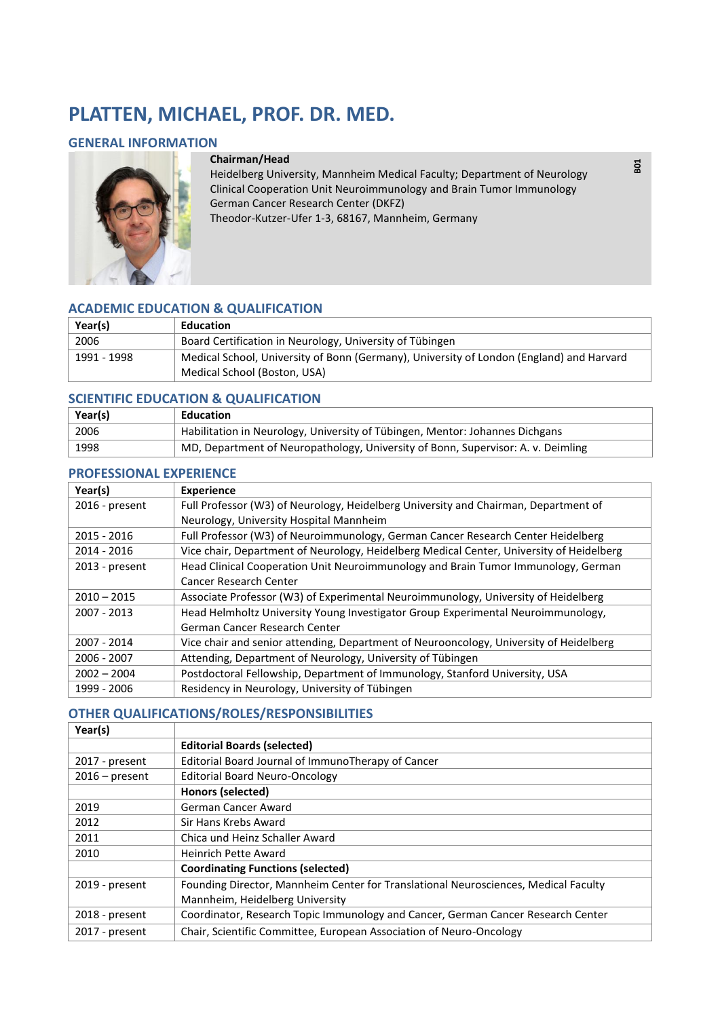# **PLATTEN, MICHAEL, PROF. DR. MED.**

#### **GENERAL INFORMATION**



#### **Chairman/Head**

Heidelberg University, Mannheim Medical Faculty; Department of Neurology Clinical Cooperation Unit Neuroimmunology and Brain Tumor Immunology German Cancer Research Center (DKFZ) Theodor-Kutzer-Ufer 1-3, 68167, Mannheim, Germany

**B01** 

### **ACADEMIC EDUCATION & QUALIFICATION**

| Year(s)     | <b>Education</b>                                                                                                         |
|-------------|--------------------------------------------------------------------------------------------------------------------------|
| 2006        | Board Certification in Neurology, University of Tübingen                                                                 |
| 1991 - 1998 | Medical School, University of Bonn (Germany), University of London (England) and Harvard<br>Medical School (Boston, USA) |

### **SCIENTIFIC EDUCATION & QUALIFICATION**

| Year(s) | Education                                                                        |
|---------|----------------------------------------------------------------------------------|
| 2006    | Habilitation in Neurology, University of Tübingen, Mentor: Johannes Dichgans     |
| 1998    | MD, Department of Neuropathology, University of Bonn, Supervisor: A. v. Deimling |

## **PROFESSIONAL EXPERIENCE**

| Year(s)          | <b>Experience</b>                                                                        |
|------------------|------------------------------------------------------------------------------------------|
| 2016 - present   | Full Professor (W3) of Neurology, Heidelberg University and Chairman, Department of      |
|                  | Neurology, University Hospital Mannheim                                                  |
| 2015 - 2016      | Full Professor (W3) of Neuroimmunology, German Cancer Research Center Heidelberg         |
| 2014 - 2016      | Vice chair, Department of Neurology, Heidelberg Medical Center, University of Heidelberg |
| $2013$ - present | Head Clinical Cooperation Unit Neuroimmunology and Brain Tumor Immunology, German        |
|                  | Cancer Research Center                                                                   |
| $2010 - 2015$    | Associate Professor (W3) of Experimental Neuroimmunology, University of Heidelberg       |
| 2007 - 2013      | Head Helmholtz University Young Investigator Group Experimental Neuroimmunology,         |
|                  | German Cancer Research Center                                                            |
| 2007 - 2014      | Vice chair and senior attending, Department of Neurooncology, University of Heidelberg   |
| 2006 - 2007      | Attending, Department of Neurology, University of Tübingen                               |
| $2002 - 2004$    | Postdoctoral Fellowship, Department of Immunology, Stanford University, USA              |
| 1999 - 2006      | Residency in Neurology, University of Tübingen                                           |

## **OTHER QUALIFICATIONS/ROLES/RESPONSIBILITIES**

| Year(s)          |                                                                                     |
|------------------|-------------------------------------------------------------------------------------|
|                  | <b>Editorial Boards (selected)</b>                                                  |
| 2017 - present   | Editorial Board Journal of ImmunoTherapy of Cancer                                  |
| $2016$ – present | <b>Editorial Board Neuro-Oncology</b>                                               |
|                  | Honors (selected)                                                                   |
| 2019             | German Cancer Award                                                                 |
| 2012             | Sir Hans Krebs Award                                                                |
| 2011             | Chica und Heinz Schaller Award                                                      |
| 2010             | <b>Heinrich Pette Award</b>                                                         |
|                  | <b>Coordinating Functions (selected)</b>                                            |
| 2019 - present   | Founding Director, Mannheim Center for Translational Neurosciences, Medical Faculty |
|                  | Mannheim, Heidelberg University                                                     |
| 2018 - present   | Coordinator, Research Topic Immunology and Cancer, German Cancer Research Center    |
| 2017 - present   | Chair, Scientific Committee, European Association of Neuro-Oncology                 |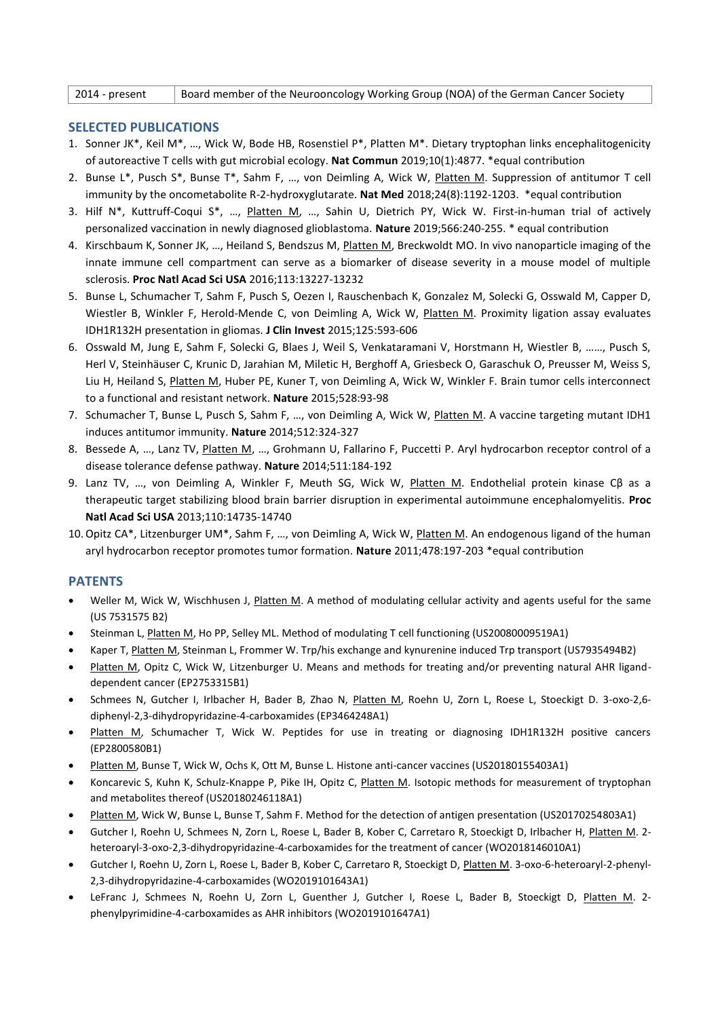2014 - present Board member of the Neurooncology Working Group (NOA) of the German Cancer Society

#### **SELECTED PUBLICATIONS**

- 1. Sonner JK\*, Keil M\*, …, Wick W, Bode HB, Rosenstiel P\*, Platten M\*. Dietary tryptophan links encephalitogenicity of autoreactive T cells with gut microbial ecology. **Nat Commun** 2019;10(1):4877. \*equal contribution
- 2. Bunse L\*, Pusch S\*, Bunse T\*, Sahm F, …, von Deimling A, Wick W, Platten M. Suppression of antitumor T cell immunity by the oncometabolite R-2-hydroxyglutarate. **Nat Med** 2018;24(8):1192-1203. \*equal contribution
- 3. Hilf N\*, Kuttruff-Coqui S\*, …, Platten M, …, Sahin U, Dietrich PY, Wick W. First-in-human trial of actively personalized vaccination in newly diagnosed glioblastoma. **Nature** 2019;566:240-255. \* equal contribution
- 4. Kirschbaum K, Sonner JK, ..., Heiland S, Bendszus M, *Platten M*, Breckwoldt MO. In vivo nanoparticle imaging of the innate immune cell compartment can serve as a biomarker of disease severity in a mouse model of multiple sclerosis. **Proc Natl Acad Sci USA** 2016;113:13227-13232
- 5. Bunse L, Schumacher T, Sahm F, Pusch S, Oezen I, Rauschenbach K, Gonzalez M, Solecki G, Osswald M, Capper D, Wiestler B, Winkler F, Herold-Mende C, von Deimling A, Wick W, Platten M. Proximity ligation assay evaluates IDH1R132H presentation in gliomas. **J Clin Invest** 2015;125:593-606
- 6. Osswald M, Jung E, Sahm F, Solecki G, Blaes J, Weil S, Venkataramani V, Horstmann H, Wiestler B, ……, Pusch S, Herl V, Steinhäuser C, Krunic D, Jarahian M, Miletic H, Berghoff A, Griesbeck O, Garaschuk O, Preusser M, Weiss S, Liu H, Heiland S, Platten M, Huber PE, Kuner T, von Deimling A, Wick W, Winkler F. Brain tumor cells interconnect to a functional and resistant network. **Nature** 2015;528:93-98
- 7. Schumacher T, Bunse L, Pusch S, Sahm F, ..., von Deimling A, Wick W, Platten M. A vaccine targeting mutant IDH1 induces antitumor immunity. **Nature** 2014;512:324-327
- 8. Bessede A, ..., Lanz TV, Platten M, ..., Grohmann U, Fallarino F, Puccetti P. Aryl hydrocarbon receptor control of a disease tolerance defense pathway. **Nature** 2014;511:184-192
- 9. Lanz TV, ..., von Deimling A, Winkler F, Meuth SG, Wick W, Platten M. Endothelial protein kinase Cβ as a therapeutic target stabilizing blood brain barrier disruption in experimental autoimmune encephalomyelitis. **Proc Natl Acad Sci USA** 2013;110:14735-14740
- 10.Opitz CA\*, Litzenburger UM\*, Sahm F, …, von Deimling A, Wick W, Platten M. An endogenous ligand of the human aryl hydrocarbon receptor promotes tumor formation. **Nature** 2011;478:197-203 \*equal contribution

### **PATENTS**

- Weller M, Wick W, Wischhusen J, Platten M. A method of modulating cellular activity and agents useful for the same (US 7531575 B2)
- Steinman L, Platten M, Ho PP, Selley ML. Method of modulating T cell functioning (US20080009519A1)
- Kaper T, Platten M, Steinman L, Frommer W. Trp/his exchange and kynurenine induced Trp transport (US7935494B2)
- Platten M, Opitz C, Wick W, Litzenburger U. Means and methods for treating and/or preventing natural AHR liganddependent cancer (EP2753315B1)
- Schmees N, Gutcher I, Irlbacher H, Bader B, Zhao N, Platten M, Roehn U, Zorn L, Roese L, Stoeckigt D. 3-oxo-2,6 diphenyl-2,3-dihydropyridazine-4-carboxamides (EP3464248A1)
- Platten M, Schumacher T, Wick W. Peptides for use in treating or diagnosing IDH1R132H positive cancers (EP2800580B1)
- Platten M, Bunse T, Wick W, Ochs K, Ott M, Bunse L. Histone anti-cancer vaccines (US20180155403A1)
- Koncarevic S, Kuhn K, Schulz-Knappe P, Pike IH, Opitz C, Platten M. Isotopic methods for measurement of tryptophan and metabolites thereof (US20180246118A1)
- Platten M, Wick W, Bunse L, Bunse T, Sahm F. Method for the detection of antigen presentation (US20170254803A1)
- Gutcher I, Roehn U, Schmees N, Zorn L, Roese L, Bader B, Kober C, Carretaro R, Stoeckigt D, Irlbacher H, Platten M. 2heteroaryl-3-oxo-2,3-dihydropyridazine-4-carboxamides for the treatment of cancer (WO2018146010A1)
- Gutcher I, Roehn U, Zorn L, Roese L, Bader B, Kober C, Carretaro R, Stoeckigt D, Platten M. 3-oxo-6-heteroaryl-2-phenyl-2,3-dihydropyridazine-4-carboxamides (WO2019101643A1)
- LeFranc J, Schmees N, Roehn U, Zorn L, Guenther J, Gutcher I, Roese L, Bader B, Stoeckigt D, Platten M. 2 phenylpyrimidine-4-carboxamides as AHR inhibitors (WO2019101647A1)